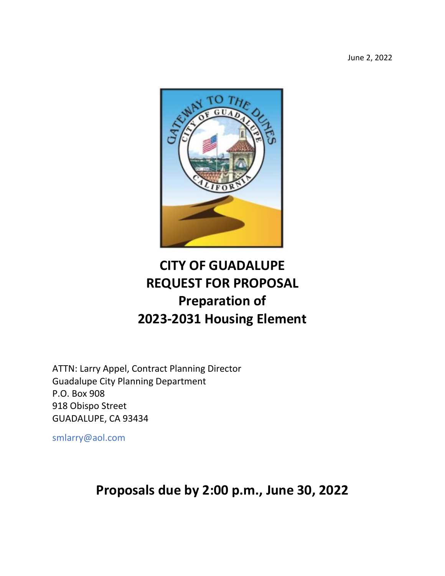June 2, 2022



# **CITY OF GUADALUPE REQUEST FOR PROPOSAL Preparation of 2023-2031 Housing Element**

ATTN: Larry Appel, Contract Planning Director Guadalupe City Planning Department P.O. Box 908 918 Obispo Street GUADALUPE, CA 93434

smlarry@aol.com

**Proposals due by 2:00 p.m., June 30, 2022**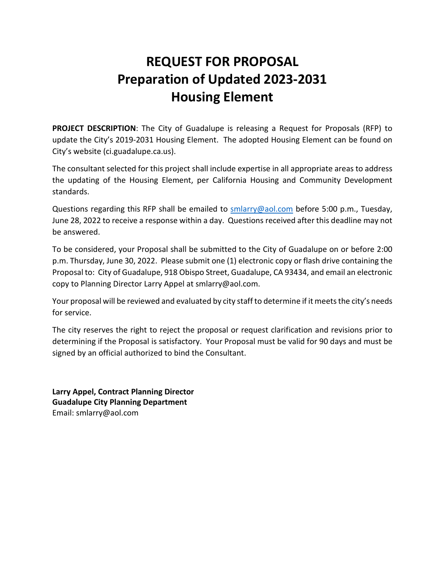# **REQUEST FOR PROPOSAL Preparation of Updated 2023-2031 Housing Element**

**PROJECT DESCRIPTION**: The City of Guadalupe is releasing a Request for Proposals (RFP) to update the City's 2019-2031 Housing Element. The adopted Housing Element can be found on City's website (ci.guadalupe.ca.us).

The consultant selected for this project shall include expertise in all appropriate areas to address the updating of the Housing Element, per California Housing and Community Development standards.

Questions regarding this RFP shall be emailed to [smlarry@aol.com](mailto:smlarry@aol.com) before 5:00 p.m., Tuesday, June 28, 2022 to receive a response within a day. Questions received after this deadline may not be answered.

To be considered, your Proposal shall be submitted to the City of Guadalupe on or before 2:00 p.m. Thursday, June 30, 2022. Please submit one (1) electronic copy or flash drive containing the Proposal to: City of Guadalupe, 918 Obispo Street, Guadalupe, CA 93434, and email an electronic copy to Planning Director Larry Appel at smlarry@aol.com.

Your proposal will be reviewed and evaluated by city staff to determine if it meets the city's needs for service.

The city reserves the right to reject the proposal or request clarification and revisions prior to determining if the Proposal is satisfactory. Your Proposal must be valid for 90 days and must be signed by an official authorized to bind the Consultant.

**Larry Appel, Contract Planning Director Guadalupe City Planning Department** Email: smlarry@aol.com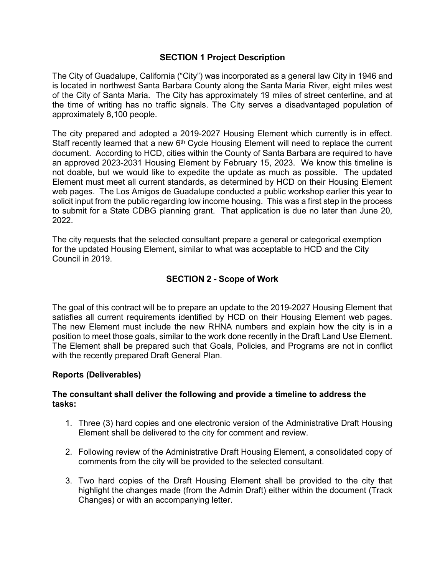# **SECTION 1 Project Description**

The City of Guadalupe, California ("City") was incorporated as a general law City in 1946 and is located in northwest Santa Barbara County along the Santa Maria River, eight miles west of the City of Santa Maria. The City has approximately 19 miles of street centerline, and at the time of writing has no traffic signals. The City serves a disadvantaged population of approximately 8,100 people.

The city prepared and adopted a 2019-2027 Housing Element which currently is in effect. Staff recently learned that a new 6<sup>th</sup> Cycle Housing Element will need to replace the current document. According to HCD, cities within the County of Santa Barbara are required to have an approved 2023-2031 Housing Element by February 15, 2023. We know this timeline is not doable, but we would like to expedite the update as much as possible. The updated Element must meet all current standards, as determined by HCD on their Housing Element web pages. The Los Amigos de Guadalupe conducted a public workshop earlier this year to solicit input from the public regarding low income housing. This was a first step in the process to submit for a State CDBG planning grant. That application is due no later than June 20, 2022.

The city requests that the selected consultant prepare a general or categorical exemption for the updated Housing Element, similar to what was acceptable to HCD and the City Council in 2019.

# **SECTION 2 - Scope of Work**

The goal of this contract will be to prepare an update to the 2019-2027 Housing Element that satisfies all current requirements identified by HCD on their Housing Element web pages. The new Element must include the new RHNA numbers and explain how the city is in a position to meet those goals, similar to the work done recently in the Draft Land Use Element. The Element shall be prepared such that Goals, Policies, and Programs are not in conflict with the recently prepared Draft General Plan.

#### **Reports (Deliverables)**

## **The consultant shall deliver the following and provide a timeline to address the tasks:**

- 1. Three (3) hard copies and one electronic version of the Administrative Draft Housing Element shall be delivered to the city for comment and review.
- 2. Following review of the Administrative Draft Housing Element, a consolidated copy of comments from the city will be provided to the selected consultant.
- 3. Two hard copies of the Draft Housing Element shall be provided to the city that highlight the changes made (from the Admin Draft) either within the document (Track Changes) or with an accompanying letter.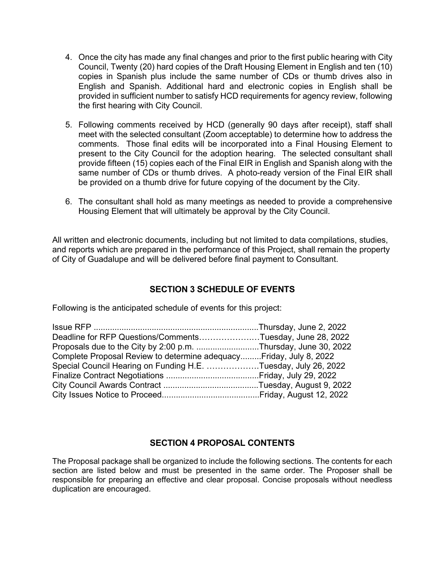- 4. Once the city has made any final changes and prior to the first public hearing with City Council, Twenty (20) hard copies of the Draft Housing Element in English and ten (10) copies in Spanish plus include the same number of CDs or thumb drives also in English and Spanish. Additional hard and electronic copies in English shall be provided in sufficient number to satisfy HCD requirements for agency review, following the first hearing with City Council.
- 5. Following comments received by HCD (generally 90 days after receipt), staff shall meet with the selected consultant (Zoom acceptable) to determine how to address the comments. Those final edits will be incorporated into a Final Housing Element to present to the City Council for the adoption hearing. The selected consultant shall provide fifteen (15) copies each of the Final EIR in English and Spanish along with the same number of CDs or thumb drives. A photo-ready version of the Final EIR shall be provided on a thumb drive for future copying of the document by the City.
- 6. The consultant shall hold as many meetings as needed to provide a comprehensive Housing Element that will ultimately be approval by the City Council.

All written and electronic documents, including but not limited to data compilations, studies, and reports which are prepared in the performance of this Project, shall remain the property of City of Guadalupe and will be delivered before final payment to Consultant.

# **SECTION 3 SCHEDULE OF EVENTS**

Following is the anticipated schedule of events for this project:

| Deadline for RFP Questions/CommentsTuesday, June 28, 2022           |  |
|---------------------------------------------------------------------|--|
| Proposals due to the City by 2:00 p.m. Thursday, June 30, 2022      |  |
| Complete Proposal Review to determine adequacy Friday, July 8, 2022 |  |
| Special Council Hearing on Funding H.E. Tuesday, July 26, 2022      |  |
|                                                                     |  |
|                                                                     |  |
|                                                                     |  |
|                                                                     |  |

# **SECTION 4 PROPOSAL CONTENTS**

The Proposal package shall be organized to include the following sections. The contents for each section are listed below and must be presented in the same order. The Proposer shall be responsible for preparing an effective and clear proposal. Concise proposals without needless duplication are encouraged.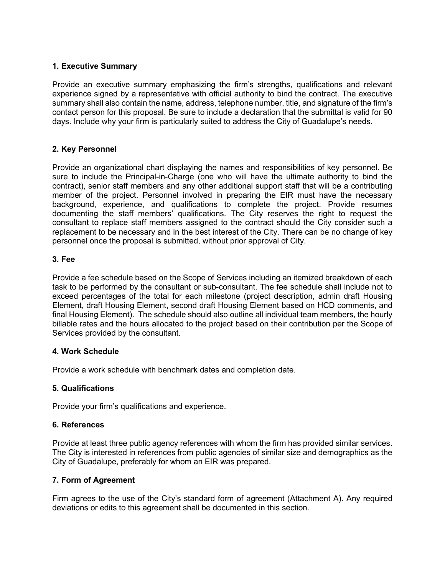#### **1. Executive Summary**

Provide an executive summary emphasizing the firm's strengths, qualifications and relevant experience signed by a representative with official authority to bind the contract. The executive summary shall also contain the name, address, telephone number, title, and signature of the firm's contact person for this proposal. Be sure to include a declaration that the submittal is valid for 90 days. Include why your firm is particularly suited to address the City of Guadalupe's needs.

## **2. Key Personnel**

Provide an organizational chart displaying the names and responsibilities of key personnel. Be sure to include the Principal-in-Charge (one who will have the ultimate authority to bind the contract), senior staff members and any other additional support staff that will be a contributing member of the project. Personnel involved in preparing the EIR must have the necessary background, experience, and qualifications to complete the project. Provide resumes documenting the staff members' qualifications. The City reserves the right to request the consultant to replace staff members assigned to the contract should the City consider such a replacement to be necessary and in the best interest of the City. There can be no change of key personnel once the proposal is submitted, without prior approval of City.

#### **3. Fee**

Provide a fee schedule based on the Scope of Services including an itemized breakdown of each task to be performed by the consultant or sub-consultant. The fee schedule shall include not to exceed percentages of the total for each milestone (project description, admin draft Housing Element, draft Housing Element, second draft Housing Element based on HCD comments, and final Housing Element). The schedule should also outline all individual team members, the hourly billable rates and the hours allocated to the project based on their contribution per the Scope of Services provided by the consultant.

#### **4. Work Schedule**

Provide a work schedule with benchmark dates and completion date.

#### **5. Qualifications**

Provide your firm's qualifications and experience.

#### **6. References**

Provide at least three public agency references with whom the firm has provided similar services. The City is interested in references from public agencies of similar size and demographics as the City of Guadalupe, preferably for whom an EIR was prepared.

#### **7. Form of Agreement**

Firm agrees to the use of the City's standard form of agreement (Attachment A). Any required deviations or edits to this agreement shall be documented in this section.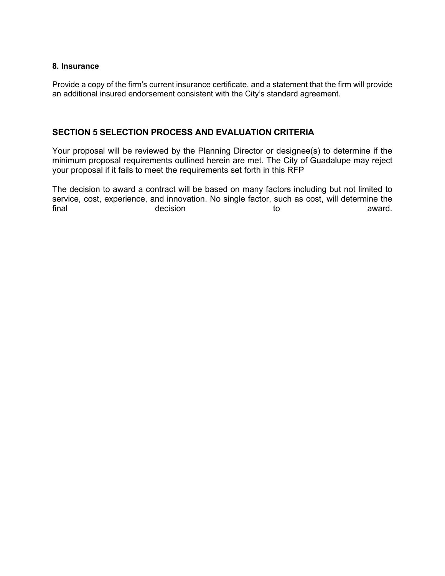#### **8. Insurance**

Provide a copy of the firm's current insurance certificate, and a statement that the firm will provide an additional insured endorsement consistent with the City's standard agreement.

## **SECTION 5 SELECTION PROCESS AND EVALUATION CRITERIA**

Your proposal will be reviewed by the Planning Director or designee(s) to determine if the minimum proposal requirements outlined herein are met. The City of Guadalupe may reject your proposal if it fails to meet the requirements set forth in this RFP

The decision to award a contract will be based on many factors including but not limited to service, cost, experience, and innovation. No single factor, such as cost, will determine the final to the decision final the section of the contract of the contract of the contract of the contract of the contract of the contra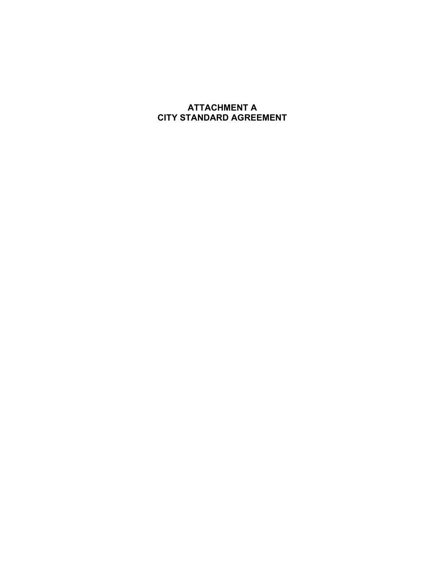# **ATTACHMENT A CITY STANDARD AGREEMENT**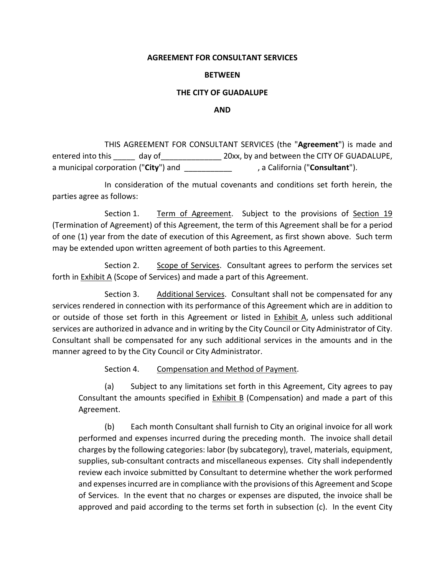#### **AGREEMENT FOR CONSULTANT SERVICES**

#### **BETWEEN**

#### **THE CITY OF GUADALUPE**

#### **AND**

 THIS AGREEMENT FOR CONSULTANT SERVICES (the "**Agreement**") is made and entered into this day of  $20xx$ , by and between the CITY OF GUADALUPE, a municipal corporation ("**City**") and \_\_\_\_\_\_\_\_\_\_\_ , a California ("**Consultant**").

 In consideration of the mutual covenants and conditions set forth herein, the parties agree as follows:

 Section 1. Term of Agreement. Subject to the provisions of Section 19 (Termination of Agreement) of this Agreement, the term of this Agreement shall be for a period of one (1) year from the date of execution of this Agreement, as first shown above. Such term may be extended upon written agreement of both parties to this Agreement.

 Section 2. Scope of Services. Consultant agrees to perform the services set forth in **Exhibit A** (Scope of Services) and made a part of this Agreement.

 Section 3. Additional Services. Consultant shall not be compensated for any services rendered in connection with its performance of this Agreement which are in addition to or outside of those set forth in this Agreement or listed in Exhibit A, unless such additional services are authorized in advance and in writing by the City Council or City Administrator of City. Consultant shall be compensated for any such additional services in the amounts and in the manner agreed to by the City Council or City Administrator.

Section 4. Compensation and Method of Payment.

(a) Subject to any limitations set forth in this Agreement, City agrees to pay Consultant the amounts specified in Exhibit B (Compensation) and made a part of this Agreement.

(b) Each month Consultant shall furnish to City an original invoice for all work performed and expenses incurred during the preceding month. The invoice shall detail charges by the following categories: labor (by subcategory), travel, materials, equipment, supplies, sub-consultant contracts and miscellaneous expenses. City shall independently review each invoice submitted by Consultant to determine whether the work performed and expenses incurred are in compliance with the provisions of this Agreement and Scope of Services. In the event that no charges or expenses are disputed, the invoice shall be approved and paid according to the terms set forth in subsection (c). In the event City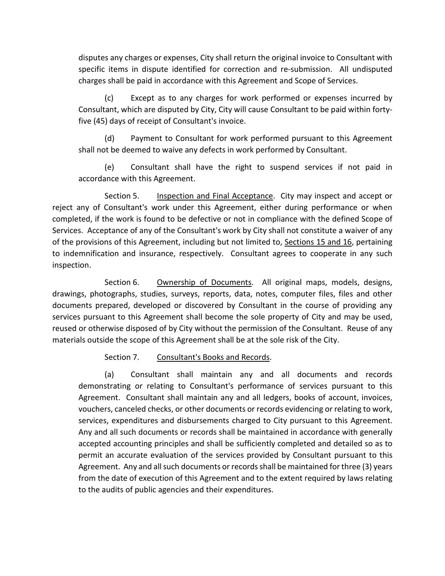disputes any charges or expenses, City shall return the original invoice to Consultant with specific items in dispute identified for correction and re-submission. All undisputed charges shall be paid in accordance with this Agreement and Scope of Services.

(c) Except as to any charges for work performed or expenses incurred by Consultant, which are disputed by City, City will cause Consultant to be paid within fortyfive (45) days of receipt of Consultant's invoice.

(d) Payment to Consultant for work performed pursuant to this Agreement shall not be deemed to waive any defects in work performed by Consultant.

(e) Consultant shall have the right to suspend services if not paid in accordance with this Agreement.

 Section 5. Inspection and Final Acceptance. City may inspect and accept or reject any of Consultant's work under this Agreement, either during performance or when completed, if the work is found to be defective or not in compliance with the defined Scope of Services. Acceptance of any of the Consultant's work by City shall not constitute a waiver of any of the provisions of this Agreement, including but not limited to, Sections 15 and 16, pertaining to indemnification and insurance, respectively. Consultant agrees to cooperate in any such inspection.

Section 6. Ownership of Documents. All original maps, models, designs, drawings, photographs, studies, surveys, reports, data, notes, computer files, files and other documents prepared, developed or discovered by Consultant in the course of providing any services pursuant to this Agreement shall become the sole property of City and may be used, reused or otherwise disposed of by City without the permission of the Consultant. Reuse of any materials outside the scope of this Agreement shall be at the sole risk of the City.

# Section 7. Consultant's Books and Records.

(a) Consultant shall maintain any and all documents and records demonstrating or relating to Consultant's performance of services pursuant to this Agreement. Consultant shall maintain any and all ledgers, books of account, invoices, vouchers, canceled checks, or other documents or records evidencing or relating to work, services, expenditures and disbursements charged to City pursuant to this Agreement. Any and all such documents or records shall be maintained in accordance with generally accepted accounting principles and shall be sufficiently completed and detailed so as to permit an accurate evaluation of the services provided by Consultant pursuant to this Agreement. Any and all such documents or records shall be maintained for three (3) years from the date of execution of this Agreement and to the extent required by laws relating to the audits of public agencies and their expenditures.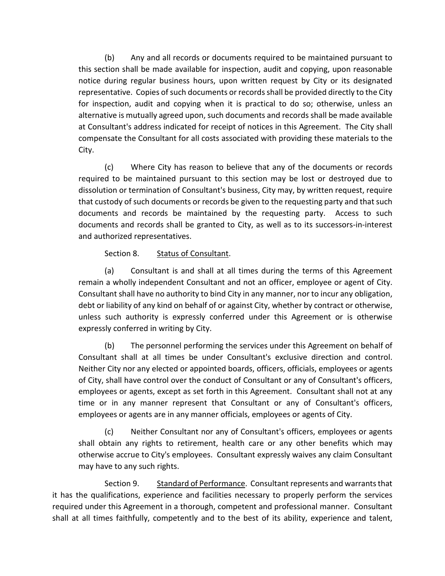(b) Any and all records or documents required to be maintained pursuant to this section shall be made available for inspection, audit and copying, upon reasonable notice during regular business hours, upon written request by City or its designated representative. Copies of such documents or records shall be provided directly to the City for inspection, audit and copying when it is practical to do so; otherwise, unless an alternative is mutually agreed upon, such documents and records shall be made available at Consultant's address indicated for receipt of notices in this Agreement. The City shall compensate the Consultant for all costs associated with providing these materials to the City.

(c) Where City has reason to believe that any of the documents or records required to be maintained pursuant to this section may be lost or destroyed due to dissolution or termination of Consultant's business, City may, by written request, require that custody of such documents or records be given to the requesting party and that such documents and records be maintained by the requesting party. Access to such documents and records shall be granted to City, as well as to its successors-in-interest and authorized representatives.

# Section 8. Status of Consultant.

(a) Consultant is and shall at all times during the terms of this Agreement remain a wholly independent Consultant and not an officer, employee or agent of City. Consultant shall have no authority to bind City in any manner, nor to incur any obligation, debt or liability of any kind on behalf of or against City, whether by contract or otherwise, unless such authority is expressly conferred under this Agreement or is otherwise expressly conferred in writing by City.

(b) The personnel performing the services under this Agreement on behalf of Consultant shall at all times be under Consultant's exclusive direction and control. Neither City nor any elected or appointed boards, officers, officials, employees or agents of City, shall have control over the conduct of Consultant or any of Consultant's officers, employees or agents, except as set forth in this Agreement. Consultant shall not at any time or in any manner represent that Consultant or any of Consultant's officers, employees or agents are in any manner officials, employees or agents of City.

(c) Neither Consultant nor any of Consultant's officers, employees or agents shall obtain any rights to retirement, health care or any other benefits which may otherwise accrue to City's employees. Consultant expressly waives any claim Consultant may have to any such rights.

Section 9. Standard of Performance. Consultant represents and warrants that it has the qualifications, experience and facilities necessary to properly perform the services required under this Agreement in a thorough, competent and professional manner. Consultant shall at all times faithfully, competently and to the best of its ability, experience and talent,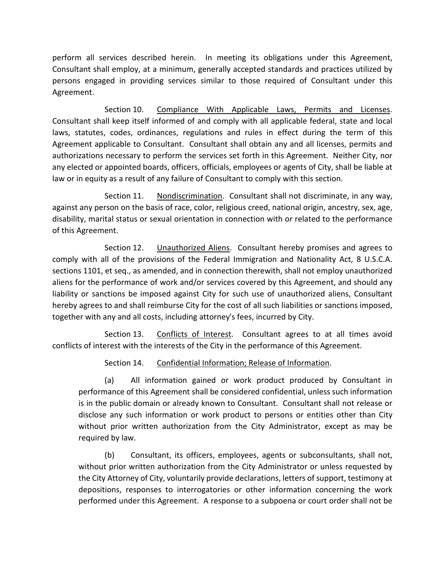perform all services described herein. In meeting its obligations under this Agreement, Consultant shall employ, at a minimum, generally accepted standards and practices utilized by persons engaged in providing services similar to those required of Consultant under this Agreement.

 Section 10. Compliance With Applicable Laws, Permits and Licenses. Consultant shall keep itself informed of and comply with all applicable federal, state and local laws, statutes, codes, ordinances, regulations and rules in effect during the term of this Agreement applicable to Consultant. Consultant shall obtain any and all licenses, permits and authorizations necessary to perform the services set forth in this Agreement. Neither City, nor any elected or appointed boards, officers, officials, employees or agents of City, shall be liable at law or in equity as a result of any failure of Consultant to comply with this section.

 Section 11. Nondiscrimination. Consultant shall not discriminate, in any way, against any person on the basis of race, color, religious creed, national origin, ancestry, sex, age, disability, marital status or sexual orientation in connection with or related to the performance of this Agreement.

 Section 12. Unauthorized Aliens. Consultant hereby promises and agrees to comply with all of the provisions of the Federal Immigration and Nationality Act, 8 U.S.C.A. sections 1101, et seq., as amended, and in connection therewith, shall not employ unauthorized aliens for the performance of work and/or services covered by this Agreement, and should any liability or sanctions be imposed against City for such use of unauthorized aliens, Consultant hereby agrees to and shall reimburse City for the cost of all such liabilities or sanctions imposed, together with any and all costs, including attorney's fees, incurred by City.

Section 13. Conflicts of Interest. Consultant agrees to at all times avoid conflicts of interest with the interests of the City in the performance of this Agreement.

Section 14. Confidential Information; Release of Information.

(a) All information gained or work product produced by Consultant in performance of this Agreement shall be considered confidential, unless such information is in the public domain or already known to Consultant. Consultant shall not release or disclose any such information or work product to persons or entities other than City without prior written authorization from the City Administrator, except as may be required by law.

(b) Consultant, its officers, employees, agents or subconsultants, shall not, without prior written authorization from the City Administrator or unless requested by the City Attorney of City, voluntarily provide declarations, letters of support, testimony at depositions, responses to interrogatories or other information concerning the work performed under this Agreement. A response to a subpoena or court order shall not be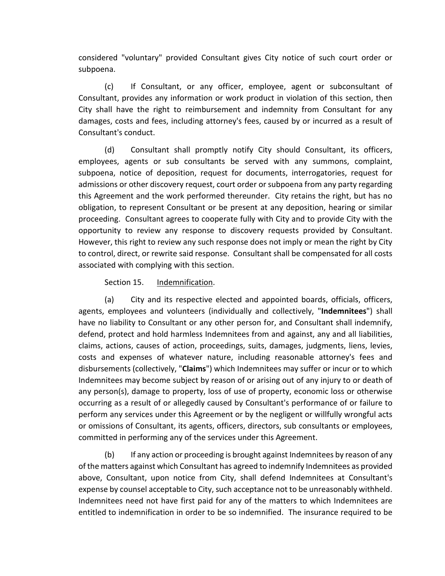considered "voluntary" provided Consultant gives City notice of such court order or subpoena.

(c) If Consultant, or any officer, employee, agent or subconsultant of Consultant, provides any information or work product in violation of this section, then City shall have the right to reimbursement and indemnity from Consultant for any damages, costs and fees, including attorney's fees, caused by or incurred as a result of Consultant's conduct.

(d) Consultant shall promptly notify City should Consultant, its officers, employees, agents or sub consultants be served with any summons, complaint, subpoena, notice of deposition, request for documents, interrogatories, request for admissions or other discovery request, court order or subpoena from any party regarding this Agreement and the work performed thereunder. City retains the right, but has no obligation, to represent Consultant or be present at any deposition, hearing or similar proceeding. Consultant agrees to cooperate fully with City and to provide City with the opportunity to review any response to discovery requests provided by Consultant. However, this right to review any such response does not imply or mean the right by City to control, direct, or rewrite said response. Consultant shall be compensated for all costs associated with complying with this section.

Section 15. Indemnification.

(a) City and its respective elected and appointed boards, officials, officers, agents, employees and volunteers (individually and collectively, "**Indemnitees**") shall have no liability to Consultant or any other person for, and Consultant shall indemnify, defend, protect and hold harmless Indemnitees from and against, any and all liabilities, claims, actions, causes of action, proceedings, suits, damages, judgments, liens, levies, costs and expenses of whatever nature, including reasonable attorney's fees and disbursements (collectively, "**Claims**") which Indemnitees may suffer or incur or to which Indemnitees may become subject by reason of or arising out of any injury to or death of any person(s), damage to property, loss of use of property, economic loss or otherwise occurring as a result of or allegedly caused by Consultant's performance of or failure to perform any services under this Agreement or by the negligent or willfully wrongful acts or omissions of Consultant, its agents, officers, directors, sub consultants or employees, committed in performing any of the services under this Agreement.

(b) If any action or proceeding is brought against Indemnitees by reason of any of the matters against which Consultant has agreed to indemnify Indemnitees as provided above, Consultant, upon notice from City, shall defend Indemnitees at Consultant's expense by counsel acceptable to City, such acceptance not to be unreasonably withheld. Indemnitees need not have first paid for any of the matters to which Indemnitees are entitled to indemnification in order to be so indemnified. The insurance required to be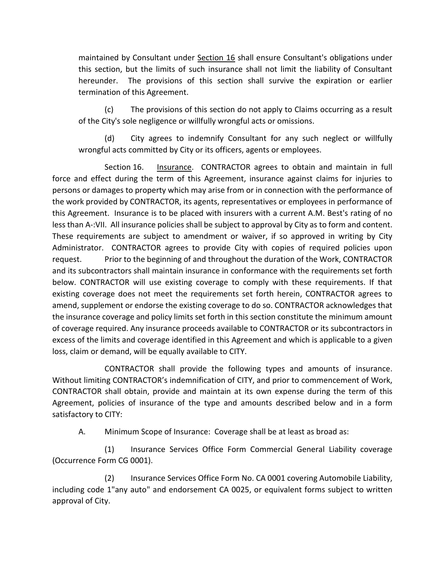maintained by Consultant under Section 16 shall ensure Consultant's obligations under this section, but the limits of such insurance shall not limit the liability of Consultant hereunder. The provisions of this section shall survive the expiration or earlier termination of this Agreement.

(c) The provisions of this section do not apply to Claims occurring as a result of the City's sole negligence or willfully wrongful acts or omissions.

(d) City agrees to indemnify Consultant for any such neglect or willfully wrongful acts committed by City or its officers, agents or employees.

Section 16. Insurance. CONTRACTOR agrees to obtain and maintain in full force and effect during the term of this Agreement, insurance against claims for injuries to persons or damages to property which may arise from or in connection with the performance of the work provided by CONTRACTOR, its agents, representatives or employees in performance of this Agreement. Insurance is to be placed with insurers with a current A.M. Best's rating of no less than A-:VII. All insurance policies shall be subject to approval by City as to form and content. These requirements are subject to amendment or waiver, if so approved in writing by City Administrator. CONTRACTOR agrees to provide City with copies of required policies upon request. Prior to the beginning of and throughout the duration of the Work, CONTRACTOR and its subcontractors shall maintain insurance in conformance with the requirements set forth below. CONTRACTOR will use existing coverage to comply with these requirements. If that existing coverage does not meet the requirements set forth herein, CONTRACTOR agrees to amend, supplement or endorse the existing coverage to do so. CONTRACTOR acknowledges that the insurance coverage and policy limits set forth in this section constitute the minimum amount of coverage required. Any insurance proceeds available to CONTRACTOR or its subcontractors in excess of the limits and coverage identified in this Agreement and which is applicable to a given loss, claim or demand, will be equally available to CITY.

 CONTRACTOR shall provide the following types and amounts of insurance. Without limiting CONTRACTOR's indemnification of CITY, and prior to commencement of Work, CONTRACTOR shall obtain, provide and maintain at its own expense during the term of this Agreement, policies of insurance of the type and amounts described below and in a form satisfactory to CITY:

A. Minimum Scope of Insurance: Coverage shall be at least as broad as:

 (1) Insurance Services Office Form Commercial General Liability coverage (Occurrence Form CG 0001).

 (2) Insurance Services Office Form No. CA 0001 covering Automobile Liability, including code 1"any auto" and endorsement CA 0025, or equivalent forms subject to written approval of City.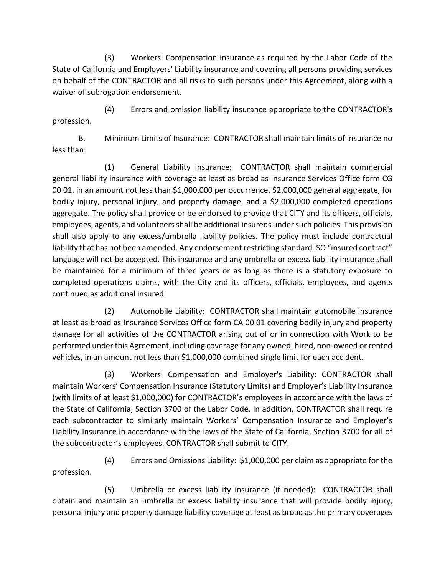(3) Workers' Compensation insurance as required by the Labor Code of the State of California and Employers' Liability insurance and covering all persons providing services on behalf of the CONTRACTOR and all risks to such persons under this Agreement, along with a waiver of subrogation endorsement.

(4) Errors and omission liability insurance appropriate to the CONTRACTOR's profession.

B. Minimum Limits of Insurance: CONTRACTOR shall maintain limits of insurance no less than:

(1) General Liability Insurance: CONTRACTOR shall maintain commercial general liability insurance with coverage at least as broad as Insurance Services Office form CG 00 01, in an amount not less than \$1,000,000 per occurrence, \$2,000,000 general aggregate, for bodily injury, personal injury, and property damage, and a \$2,000,000 completed operations aggregate. The policy shall provide or be endorsed to provide that CITY and its officers, officials, employees, agents, and volunteers shall be additional insureds under such policies. This provision shall also apply to any excess/umbrella liability policies. The policy must include contractual liability that has not been amended. Any endorsement restricting standard ISO "insured contract" language will not be accepted. This insurance and any umbrella or excess liability insurance shall be maintained for a minimum of three years or as long as there is a statutory exposure to completed operations claims, with the City and its officers, officials, employees, and agents continued as additional insured.

(2) Automobile Liability: CONTRACTOR shall maintain automobile insurance at least as broad as Insurance Services Office form CA 00 01 covering bodily injury and property damage for all activities of the CONTRACTOR arising out of or in connection with Work to be performed under this Agreement, including coverage for any owned, hired, non-owned or rented vehicles, in an amount not less than \$1,000,000 combined single limit for each accident.

(3) Workers' Compensation and Employer's Liability: CONTRACTOR shall maintain Workers' Compensation Insurance (Statutory Limits) and Employer's Liability Insurance (with limits of at least \$1,000,000) for CONTRACTOR's employees in accordance with the laws of the State of California, Section 3700 of the Labor Code. In addition, CONTRACTOR shall require each subcontractor to similarly maintain Workers' Compensation Insurance and Employer's Liability Insurance in accordance with the laws of the State of California, Section 3700 for all of the subcontractor's employees. CONTRACTOR shall submit to CITY.

(4) Errors and Omissions Liability: \$1,000,000 per claim as appropriate for the profession.

(5) Umbrella or excess liability insurance (if needed): CONTRACTOR shall obtain and maintain an umbrella or excess liability insurance that will provide bodily injury, personal injury and property damage liability coverage at least as broad as the primary coverages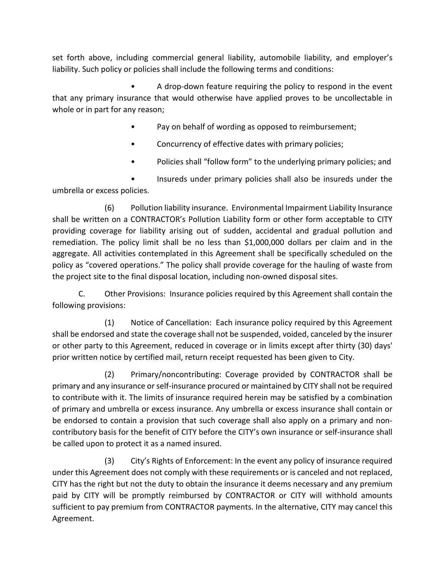set forth above, including commercial general liability, automobile liability, and employer's liability. Such policy or policies shall include the following terms and conditions:

• A drop-down feature requiring the policy to respond in the event that any primary insurance that would otherwise have applied proves to be uncollectable in whole or in part for any reason;

- Pay on behalf of wording as opposed to reimbursement;
- Concurrency of effective dates with primary policies;
- Policies shall "follow form" to the underlying primary policies; and

• Insureds under primary policies shall also be insureds under the umbrella or excess policies.

(6) Pollution liability insurance. Environmental Impairment Liability Insurance shall be written on a CONTRACTOR's Pollution Liability form or other form acceptable to CITY providing coverage for liability arising out of sudden, accidental and gradual pollution and remediation. The policy limit shall be no less than \$1,000,000 dollars per claim and in the aggregate. All activities contemplated in this Agreement shall be specifically scheduled on the policy as "covered operations." The policy shall provide coverage for the hauling of waste from the project site to the final disposal location, including non-owned disposal sites.

C. Other Provisions: Insurance policies required by this Agreement shall contain the following provisions:

(1) Notice of Cancellation: Each insurance policy required by this Agreement shall be endorsed and state the coverage shall not be suspended, voided, canceled by the insurer or other party to this Agreement, reduced in coverage or in limits except after thirty (30) days' prior written notice by certified mail, return receipt requested has been given to City.

(2) Primary/noncontributing: Coverage provided by CONTRACTOR shall be primary and any insurance or self-insurance procured or maintained by CITY shall not be required to contribute with it. The limits of insurance required herein may be satisfied by a combination of primary and umbrella or excess insurance. Any umbrella or excess insurance shall contain or be endorsed to contain a provision that such coverage shall also apply on a primary and noncontributory basis for the benefit of CITY before the CITY's own insurance or self-insurance shall be called upon to protect it as a named insured.

(3) City's Rights of Enforcement: In the event any policy of insurance required under this Agreement does not comply with these requirements or is canceled and not replaced, CITY has the right but not the duty to obtain the insurance it deems necessary and any premium paid by CITY will be promptly reimbursed by CONTRACTOR or CITY will withhold amounts sufficient to pay premium from CONTRACTOR payments. In the alternative, CITY may cancel this Agreement.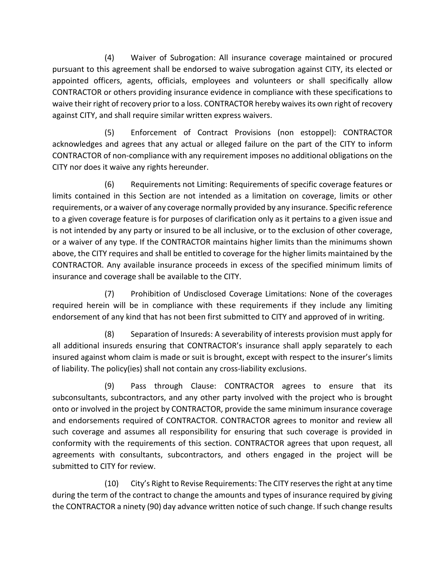(4) Waiver of Subrogation: All insurance coverage maintained or procured pursuant to this agreement shall be endorsed to waive subrogation against CITY, its elected or appointed officers, agents, officials, employees and volunteers or shall specifically allow CONTRACTOR or others providing insurance evidence in compliance with these specifications to waive their right of recovery prior to a loss. CONTRACTOR hereby waives its own right of recovery against CITY, and shall require similar written express waivers.

(5) Enforcement of Contract Provisions (non estoppel): CONTRACTOR acknowledges and agrees that any actual or alleged failure on the part of the CITY to inform CONTRACTOR of non-compliance with any requirement imposes no additional obligations on the CITY nor does it waive any rights hereunder.

(6) Requirements not Limiting: Requirements of specific coverage features or limits contained in this Section are not intended as a limitation on coverage, limits or other requirements, or a waiver of any coverage normally provided by any insurance. Specific reference to a given coverage feature is for purposes of clarification only as it pertains to a given issue and is not intended by any party or insured to be all inclusive, or to the exclusion of other coverage, or a waiver of any type. If the CONTRACTOR maintains higher limits than the minimums shown above, the CITY requires and shall be entitled to coverage for the higher limits maintained by the CONTRACTOR. Any available insurance proceeds in excess of the specified minimum limits of insurance and coverage shall be available to the CITY.

(7) Prohibition of Undisclosed Coverage Limitations: None of the coverages required herein will be in compliance with these requirements if they include any limiting endorsement of any kind that has not been first submitted to CITY and approved of in writing.

(8) Separation of Insureds: A severability of interests provision must apply for all additional insureds ensuring that CONTRACTOR's insurance shall apply separately to each insured against whom claim is made or suit is brought, except with respect to the insurer's limits of liability. The policy(ies) shall not contain any cross-liability exclusions.

(9) Pass through Clause: CONTRACTOR agrees to ensure that its subconsultants, subcontractors, and any other party involved with the project who is brought onto or involved in the project by CONTRACTOR, provide the same minimum insurance coverage and endorsements required of CONTRACTOR. CONTRACTOR agrees to monitor and review all such coverage and assumes all responsibility for ensuring that such coverage is provided in conformity with the requirements of this section. CONTRACTOR agrees that upon request, all agreements with consultants, subcontractors, and others engaged in the project will be submitted to CITY for review.

(10) City's Right to Revise Requirements: The CITY reserves the right at any time during the term of the contract to change the amounts and types of insurance required by giving the CONTRACTOR a ninety (90) day advance written notice of such change. If such change results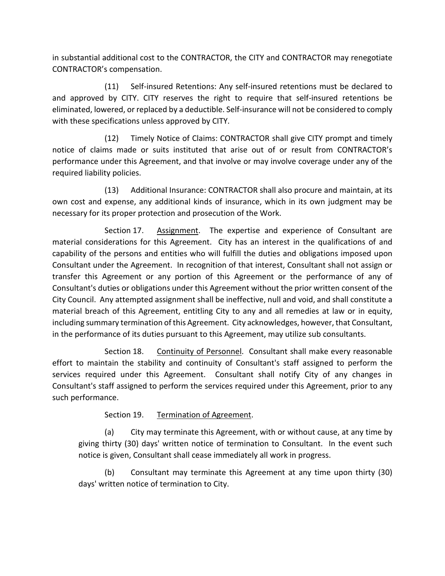in substantial additional cost to the CONTRACTOR, the CITY and CONTRACTOR may renegotiate CONTRACTOR's compensation.

 (11) Self-insured Retentions: Any self-insured retentions must be declared to and approved by CITY. CITY reserves the right to require that self-insured retentions be eliminated, lowered, or replaced by a deductible. Self-insurance will not be considered to comply with these specifications unless approved by CITY.

 (12) Timely Notice of Claims: CONTRACTOR shall give CITY prompt and timely notice of claims made or suits instituted that arise out of or result from CONTRACTOR's performance under this Agreement, and that involve or may involve coverage under any of the required liability policies.

 (13) Additional Insurance: CONTRACTOR shall also procure and maintain, at its own cost and expense, any additional kinds of insurance, which in its own judgment may be necessary for its proper protection and prosecution of the Work.

Section 17. Assignment. The expertise and experience of Consultant are material considerations for this Agreement. City has an interest in the qualifications of and capability of the persons and entities who will fulfill the duties and obligations imposed upon Consultant under the Agreement. In recognition of that interest, Consultant shall not assign or transfer this Agreement or any portion of this Agreement or the performance of any of Consultant's duties or obligations under this Agreement without the prior written consent of the City Council. Any attempted assignment shall be ineffective, null and void, and shall constitute a material breach of this Agreement, entitling City to any and all remedies at law or in equity, including summary termination of this Agreement. City acknowledges, however, that Consultant, in the performance of its duties pursuant to this Agreement, may utilize sub consultants.

 Section 18. Continuity of Personnel. Consultant shall make every reasonable effort to maintain the stability and continuity of Consultant's staff assigned to perform the services required under this Agreement. Consultant shall notify City of any changes in Consultant's staff assigned to perform the services required under this Agreement, prior to any such performance.

Section 19. Termination of Agreement.

(a) City may terminate this Agreement, with or without cause, at any time by giving thirty (30) days' written notice of termination to Consultant. In the event such notice is given, Consultant shall cease immediately all work in progress.

(b) Consultant may terminate this Agreement at any time upon thirty (30) days' written notice of termination to City.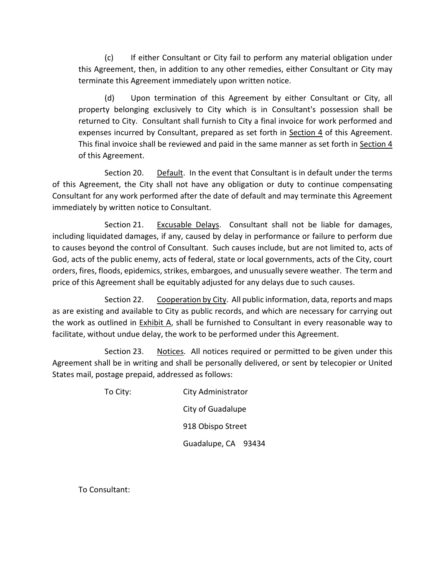(c) If either Consultant or City fail to perform any material obligation under this Agreement, then, in addition to any other remedies, either Consultant or City may terminate this Agreement immediately upon written notice.

(d) Upon termination of this Agreement by either Consultant or City, all property belonging exclusively to City which is in Consultant's possession shall be returned to City. Consultant shall furnish to City a final invoice for work performed and expenses incurred by Consultant, prepared as set forth in Section 4 of this Agreement. This final invoice shall be reviewed and paid in the same manner as set forth in Section 4 of this Agreement.

 Section 20. Default. In the event that Consultant is in default under the terms of this Agreement, the City shall not have any obligation or duty to continue compensating Consultant for any work performed after the date of default and may terminate this Agreement immediately by written notice to Consultant.

 Section 21. Excusable Delays. Consultant shall not be liable for damages, including liquidated damages, if any, caused by delay in performance or failure to perform due to causes beyond the control of Consultant. Such causes include, but are not limited to, acts of God, acts of the public enemy, acts of federal, state or local governments, acts of the City, court orders, fires, floods, epidemics, strikes, embargoes, and unusually severe weather. The term and price of this Agreement shall be equitably adjusted for any delays due to such causes.

 Section 22. Cooperation by City. All public information, data, reports and maps as are existing and available to City as public records, and which are necessary for carrying out the work as outlined in Exhibit A, shall be furnished to Consultant in every reasonable way to facilitate, without undue delay, the work to be performed under this Agreement.

 Section 23. Notices. All notices required or permitted to be given under this Agreement shall be in writing and shall be personally delivered, or sent by telecopier or United States mail, postage prepaid, addressed as follows:

 To City: City Administrator City of Guadalupe 918 Obispo Street Guadalupe, CA 93434

To Consultant: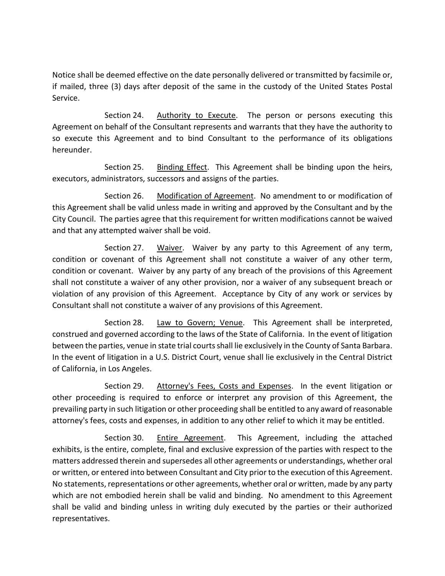Notice shall be deemed effective on the date personally delivered or transmitted by facsimile or, if mailed, three (3) days after deposit of the same in the custody of the United States Postal Service.

Section 24. Authority to Execute. The person or persons executing this Agreement on behalf of the Consultant represents and warrants that they have the authority to so execute this Agreement and to bind Consultant to the performance of its obligations hereunder.

Section 25. Binding Effect. This Agreement shall be binding upon the heirs, executors, administrators, successors and assigns of the parties.

 Section 26. Modification of Agreement. No amendment to or modification of this Agreement shall be valid unless made in writing and approved by the Consultant and by the City Council. The parties agree that this requirement for written modifications cannot be waived and that any attempted waiver shall be void.

Section 27. Waiver. Waiver by any party to this Agreement of any term, condition or covenant of this Agreement shall not constitute a waiver of any other term, condition or covenant. Waiver by any party of any breach of the provisions of this Agreement shall not constitute a waiver of any other provision, nor a waiver of any subsequent breach or violation of any provision of this Agreement. Acceptance by City of any work or services by Consultant shall not constitute a waiver of any provisions of this Agreement.

Section 28. Law to Govern; Venue. This Agreement shall be interpreted, construed and governed according to the laws of the State of California. In the event of litigation between the parties, venue in state trial courts shall lie exclusively in the County of Santa Barbara. In the event of litigation in a U.S. District Court, venue shall lie exclusively in the Central District of California, in Los Angeles.

Section 29. Attorney's Fees, Costs and Expenses. In the event litigation or other proceeding is required to enforce or interpret any provision of this Agreement, the prevailing party in such litigation or other proceeding shall be entitled to any award of reasonable attorney's fees, costs and expenses, in addition to any other relief to which it may be entitled.

Section 30. Entire Agreement. This Agreement, including the attached exhibits, is the entire, complete, final and exclusive expression of the parties with respect to the matters addressed therein and supersedes all other agreements or understandings, whether oral or written, or entered into between Consultant and City prior to the execution of this Agreement. No statements, representations or other agreements, whether oral or written, made by any party which are not embodied herein shall be valid and binding. No amendment to this Agreement shall be valid and binding unless in writing duly executed by the parties or their authorized representatives.